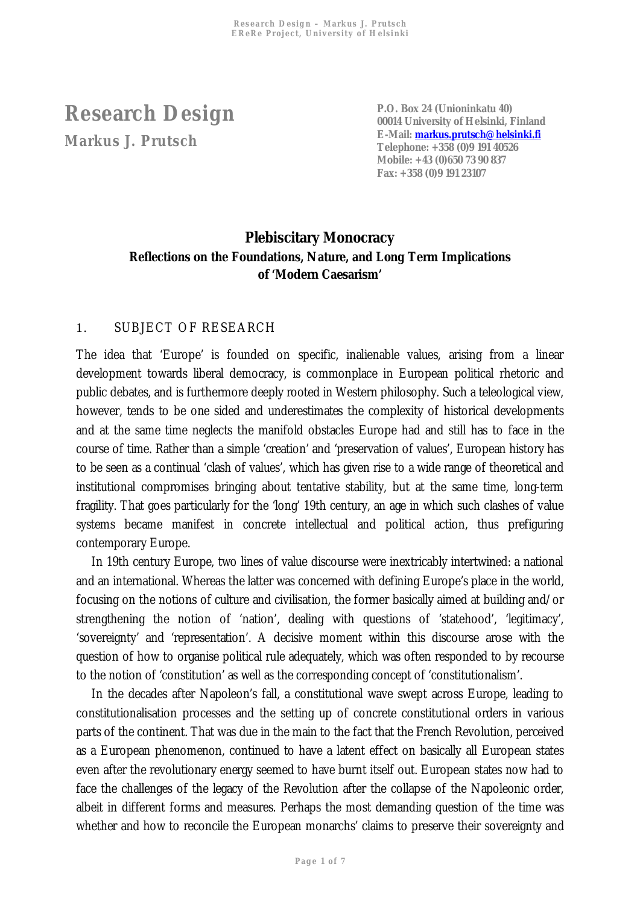**Research Design Markus J. Prutsch** 

**P.O. Box 24 (Unioninkatu 40) 00014 University of Helsinki, Finland E-Mail: [markus.prutsch@helsinki.fi](mailto:markus.prutsch@helsinki.fi) Telephone: +358 (0)9 191 40526 Mobile: +43 (0)650 73 90 837 Fax: +358 (0)9 191 23107**

## **Plebiscitary Monocracy Reflections on the Foundations, Nature, and Long Term Implications of 'Modern Caesarism'**

## 1. SUBJECT OF RESEARCH

The idea that 'Europe' is founded on specific, inalienable values, arising from a linear development towards liberal democracy, is commonplace in European political rhetoric and public debates, and is furthermore deeply rooted in Western philosophy. Such a teleological view, however, tends to be one sided and underestimates the complexity of historical developments and at the same time neglects the manifold obstacles Europe had and still has to face in the course of time. Rather than a simple 'creation' and 'preservation of values', European history has to be seen as a continual 'clash of values', which has given rise to a wide range of theoretical and institutional compromises bringing about tentative stability, but at the same time, long-term fragility. That goes particularly for the 'long' 19th century, an age in which such clashes of value systems became manifest in concrete intellectual and political action, thus prefiguring contemporary Europe.

In 19th century Europe, two lines of value discourse were inextricably intertwined: a national and an international. Whereas the latter was concerned with defining Europe's place in the world, focusing on the notions of culture and civilisation, the former basically aimed at building and/or strengthening the notion of 'nation', dealing with questions of 'statehood', 'legitimacy', 'sovereignty' and 'representation'. A decisive moment within this discourse arose with the question of how to organise political rule adequately, which was often responded to by recourse to the notion of 'constitution' as well as the corresponding concept of 'constitutionalism'.

In the decades after Napoleon's fall, a constitutional wave swept across Europe, leading to constitutionalisation processes and the setting up of concrete constitutional orders in various parts of the continent. That was due in the main to the fact that the French Revolution, perceived as a European phenomenon, continued to have a latent effect on basically all European states even after the revolutionary energy seemed to have burnt itself out. European states now had to face the challenges of the legacy of the Revolution after the collapse of the Napoleonic order, albeit in different forms and measures. Perhaps the most demanding question of the time was whether and how to reconcile the European monarchs' claims to preserve their sovereignty and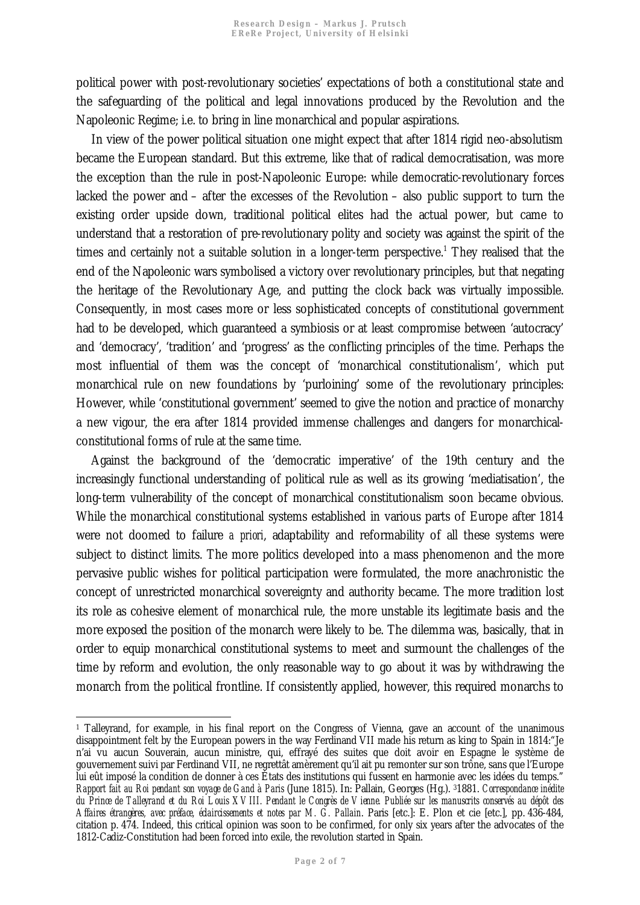political power with post-revolutionary societies' expectations of both a constitutional state and the safeguarding of the political and legal innovations produced by the Revolution and the Napoleonic Regime; i.e. to bring in line monarchical and popular aspirations.

In view of the power political situation one might expect that after 1814 rigid neo-absolutism became the European standard. But this extreme, like that of radical democratisation, was more the exception than the rule in post-Napoleonic Europe: while democratic-revolutionary forces lacked the power and – after the excesses of the Revolution – also public support to turn the existing order upside down, traditional political elites had the actual power, but came to understand that a restoration of pre-revolutionary polity and society was against the spirit of the times and certainly not a suitable solution in a longer-term perspective.<sup>1</sup> [T](#page-1-0)hey realised that the end of the Napoleonic wars symbolised a victory over revolutionary principles, but that negating the heritage of the Revolutionary Age, and putting the clock back was virtually impossible. Consequently, in most cases more or less sophisticated concepts of constitutional government had to be developed, which guaranteed a symbiosis or at least compromise between 'autocracy' and 'democracy', 'tradition' and 'progress' as the conflicting principles of the time. Perhaps the most influential of them was the concept of 'monarchical constitutionalism', which put monarchical rule on new foundations by 'purloining' some of the revolutionary principles: However, while 'constitutional government' seemed to give the notion and practice of monarchy a new vigour, the era after 1814 provided immense challenges and dangers for monarchicalconstitutional forms of rule at the same time.

Against the background of the 'democratic imperative' of the 19th century and the increasingly functional understanding of political rule as well as its growing 'mediatisation', the long-term vulnerability of the concept of monarchical constitutionalism soon became obvious. While the monarchical constitutional systems established in various parts of Europe after 1814 were not doomed to failure *a priori*, adaptability and reformability of all these systems were subject to distinct limits. The more politics developed into a mass phenomenon and the more pervasive public wishes for political participation were formulated, the more anachronistic the concept of unrestricted monarchical sovereignty and authority became. The more tradition lost its role as cohesive element of monarchical rule, the more unstable its legitimate basis and the more exposed the position of the monarch were likely to be. The dilemma was, basically, that in order to equip monarchical constitutional systems to meet and surmount the challenges of the time by reform and evolution, the only reasonable way to go about it was by withdrawing the monarch from the political frontline. If consistently applied, however, this required monarchs to

<span id="page-1-0"></span> $\ddot{\phantom{a}}$ 1 Talleyrand, for example, in his final report on the Congress of Vienna, gave an account of the unanimous disappointment felt by the European powers in the way Ferdinand VII made his return as king to Spain in 1814:"Je n'ai vu aucun Souverain, aucun ministre, qui, effrayé des suites que doit avoir en Espagne le système de gouvernement suivi par Ferdinand VII, ne regrettât amèrement qu'il ait pu remonter sur son trône, sans que l'Europe lui eût imposé la condition de donner à ces États des institutions qui fussent en harmonie avec les idées du temps." *Rapport fait au Roi pendant son voyage de Gand à Paris* (June 1815). In: Pallain, Georges (Hg.). 31881. *Correspondance inédite du Prince de Talleyrand et du Roi Louis XVIII. Pendant le Congrès de Vienne. Publiée sur les manuscrits conservés au dépôt des Affaires étrangères, avec préface, éclaircissements et notes par M. G. Pallain*. Paris [etc.]: E. Plon et cie [etc.], pp. 436-484, citation p. 474. Indeed, this critical opinion was soon to be confirmed, for only six years after the advocates of the 1812-Cadiz-Constitution had been forced into exile, the revolution started in Spain.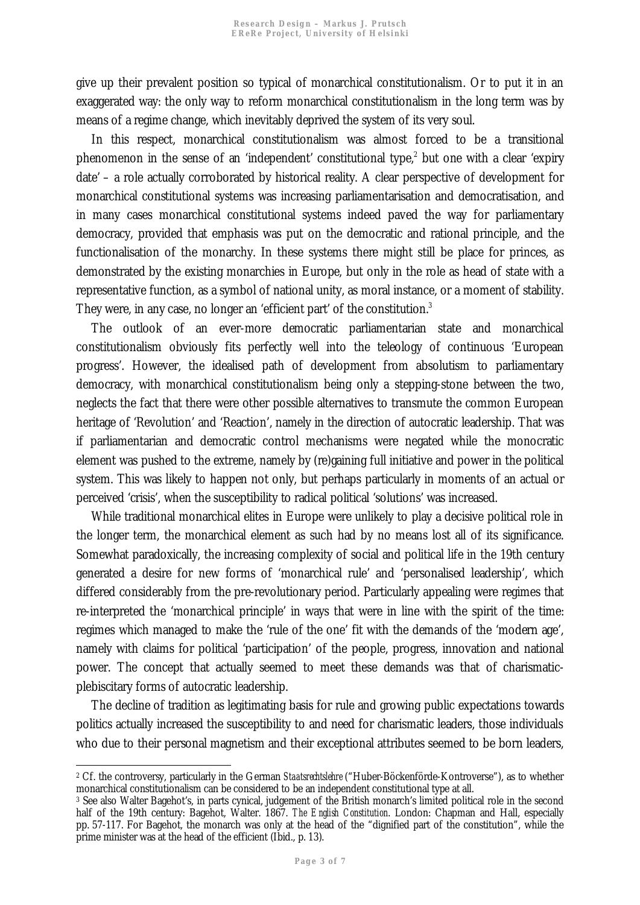give up their prevalent position so typical of monarchical constitutionalism. Or to put it in an exaggerated way: the only way to reform monarchical constitutionalism in the long term was by means of a regime change, which inevitably deprived the system of its very soul.

In this respect, monarchical constitutionalism was almost forced to be a transitional phenomenon in the sense of an 'independent' constitutional type,<sup>2</sup> [b](#page-2-0)ut one with a clear 'expiry date' – a role actually corroborated by historical reality. A clear perspective of development for monarchical constitutional systems was increasing parliamentarisation and democratisation, and in many cases monarchical constitutional systems indeed paved the way for parliamentary democracy, provided that emphasis was put on the democratic and rational principle, and the functionalisation of the monarchy. In these systems there might still be place for princes, as demonstrated by the existing monarchies in Europe, but only in the role as head of state with a representative function, as a symbol of national unity, as moral instance, or a moment of stability. They were, in any case, no longer an 'efficient part' of the constitution.<sup>3</sup>

The outlook of an ever-more democratic parliamentarian state and monarchical constitutionalism obviously fits perfectly well into the teleology of continuous 'European progress'. However, the idealised path of development from absolutism to parliamentary democracy, with monarchical constitutionalism being only a stepping-stone between the two, neglects the fact that there were other possible alternatives to transmute the common European heritage of 'Revolution' and 'Reaction', namely in the direction of autocratic leadership. That was if parliamentarian and democratic control mechanisms were negated while the monocratic element was pushed to the extreme, namely by (re)gaining full initiative and power in the political system. This was likely to happen not only, but perhaps particularly in moments of an actual or perceived 'crisis', when the susceptibility to radical political 'solutions' was increased.

While traditional monarchical elites in Europe were unlikely to play a decisive political role in the longer term, the monarchical element as such had by no means lost all of its significance. Somewhat paradoxically, the increasing complexity of social and political life in the 19th century generated a desire for new forms of 'monarchical rule' and 'personalised leadership', which differed considerably from the pre-revolutionary period. Particularly appealing were regimes that re-interpreted the 'monarchical principle' in ways that were in line with the spirit of the time: regimes which managed to make the 'rule of the one' fit with the demands of the 'modern age', namely with claims for political 'participation' of the people, progress, innovation and national power. The concept that actually seemed to meet these demands was that of charismaticplebiscitary forms of autocratic leadership.

The decline of tradition as legitimating basis for rule and growing public expectations towards politics actually increased the susceptibility to and need for charismatic leaders, those individuals who due to their personal magnetism and their exceptional attributes seemed to be born leaders,

<span id="page-2-0"></span> 2 Cf. the controversy, particularly in the German *Staatsrechtslehre* ("Huber-Böckenförde-Kontroverse"), as to whether monarchical constitutionalism can be considered to be an independent constitutional type at all.

<sup>3</sup> See also Walter Bagehot's, in parts cynical, judgement of the British monarch's limited political role in the second half of the 19th century: Bagehot, Walter. 1867. *The English Constitution*. London: Chapman and Hall, especially pp. 57-117. For Bagehot, the monarch was only at the head of the "dignified part of the constitution", while the prime minister was at the head of the efficient (Ibid., p. 13).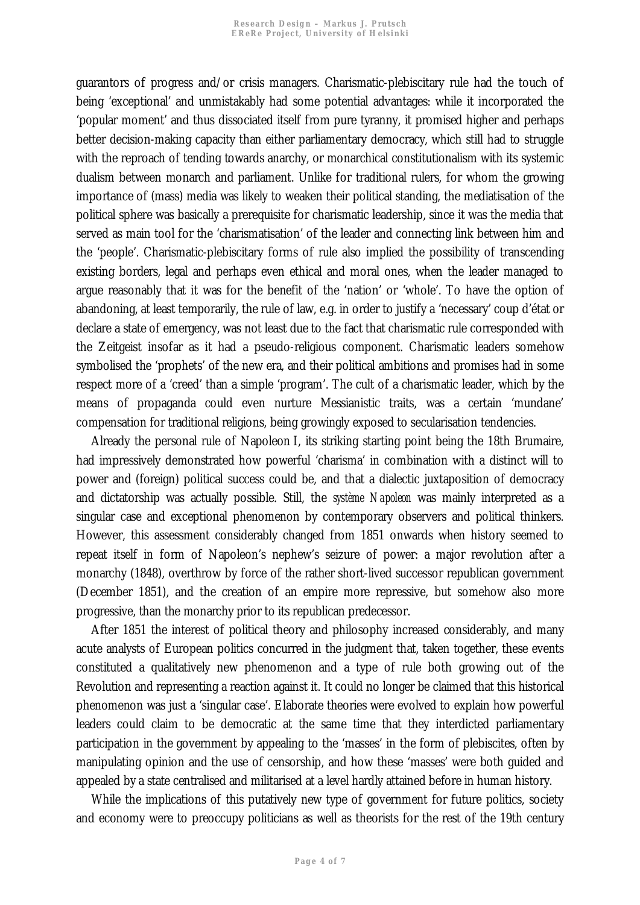guarantors of progress and/or crisis managers. Charismatic-plebiscitary rule had the touch of being 'exceptional' and unmistakably had some potential advantages: while it incorporated the 'popular moment' and thus dissociated itself from pure tyranny, it promised higher and perhaps better decision-making capacity than either parliamentary democracy, which still had to struggle with the reproach of tending towards anarchy, or monarchical constitutionalism with its systemic dualism between monarch and parliament. Unlike for traditional rulers, for whom the growing importance of (mass) media was likely to weaken their political standing, the mediatisation of the political sphere was basically a prerequisite for charismatic leadership, since it was the media that served as main tool for the 'charismatisation' of the leader and connecting link between him and the 'people'. Charismatic-plebiscitary forms of rule also implied the possibility of transcending existing borders, legal and perhaps even ethical and moral ones, when the leader managed to argue reasonably that it was for the benefit of the 'nation' or 'whole'. To have the option of abandoning, at least temporarily, the rule of law, e.g. in order to justify a 'necessary' coup d'état or declare a state of emergency, was not least due to the fact that charismatic rule corresponded with the Zeitgeist insofar as it had a pseudo-religious component. Charismatic leaders somehow symbolised the 'prophets' of the new era, and their political ambitions and promises had in some respect more of a 'creed' than a simple 'program'. The cult of a charismatic leader, which by the means of propaganda could even nurture Messianistic traits, was a certain 'mundane' compensation for traditional religions, being growingly exposed to secularisation tendencies.

Already the personal rule of Napoleon I, its striking starting point being the 18th Brumaire, had impressively demonstrated how powerful 'charisma' in combination with a distinct will to power and (foreign) political success could be, and that a dialectic juxtaposition of democracy and dictatorship was actually possible. Still, the *système Napoleon* was mainly interpreted as a singular case and exceptional phenomenon by contemporary observers and political thinkers. However, this assessment considerably changed from 1851 onwards when history seemed to repeat itself in form of Napoleon's nephew's seizure of power: a major revolution after a monarchy (1848), overthrow by force of the rather short-lived successor republican government (December 1851), and the creation of an empire more repressive, but somehow also more progressive, than the monarchy prior to its republican predecessor.

After 1851 the interest of political theory and philosophy increased considerably, and many acute analysts of European politics concurred in the judgment that, taken together, these events constituted a qualitatively new phenomenon and a type of rule both growing out of the Revolution and representing a reaction against it. It could no longer be claimed that this historical phenomenon was just a 'singular case'. Elaborate theories were evolved to explain how powerful leaders could claim to be democratic at the same time that they interdicted parliamentary participation in the government by appealing to the 'masses' in the form of plebiscites, often by manipulating opinion and the use of censorship, and how these 'masses' were both guided and appealed by a state centralised and militarised at a level hardly attained before in human history.

While the implications of this putatively new type of government for future politics, society and economy were to preoccupy politicians as well as theorists for the rest of the 19th century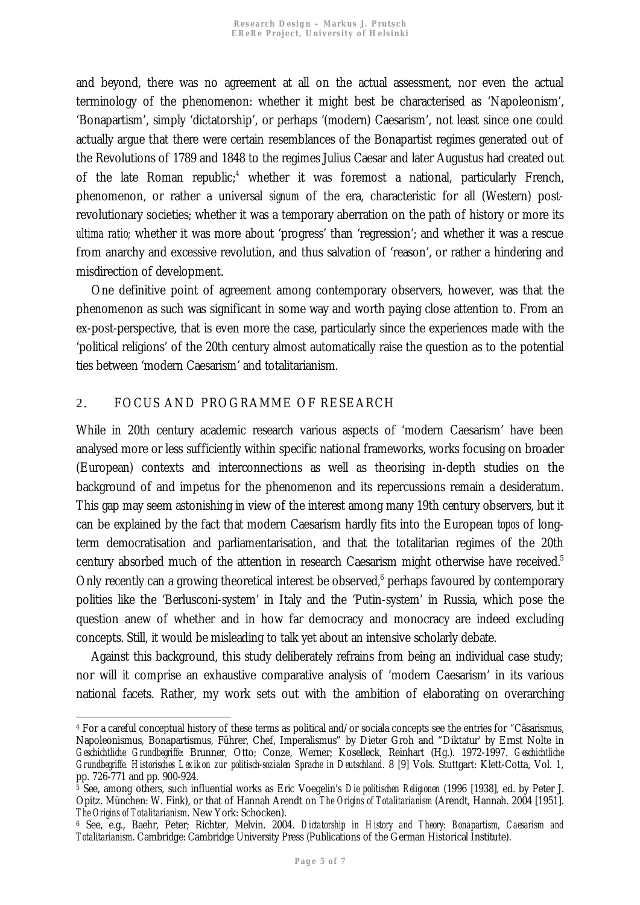and beyond, there was no agreement at all on the actual assessment, nor even the actual terminology of the phenomenon: whether it might best be characterised as 'Napoleonism', 'Bonapartism', simply 'dictatorship', or perhaps '(modern) Caesarism', not least since one could actually argue that there were certain resemblances of the Bonapartist regimes generated out of the Revolutions of 1789 and 1848 to the regimes Julius Caesar and later Augustus had created out ofthe late Roman republic;<sup>4</sup> whether it was foremost a national, particularly French, phenomenon, or rather a universal *signum* of the era, characteristic for all (Western) postrevolutionary societies; whether it was a temporary aberration on the path of history or more its *ultima ratio;* whether it was more about 'progress' than 'regression'; and whether it was a rescue from anarchy and excessive revolution, and thus salvation of 'reason', or rather a hindering and misdirection of development.

One definitive point of agreement among contemporary observers, however, was that the phenomenon as such was significant in some way and worth paying close attention to. From an ex-post-perspective, that is even more the case, particularly since the experiences made with the 'political religions' of the 20th century almost automatically raise the question as to the potential ties between 'modern Caesarism' and totalitarianism.

## 2. FOCUS AND PROGRAMME OF RESEARCH

 $\ddot{\phantom{a}}$ 

While in 20th century academic research various aspects of 'modern Caesarism' have been analysed more or less sufficiently within specific national frameworks, works focusing on broader (European) contexts and interconnections as well as theorising in-depth studies on the background of and impetus for the phenomenon and its repercussions remain a desideratum. This gap may seem astonishing in view of the interest among many 19th century observers, but it can be explained by the fact that modern Caesarism hardly fits into the European *topos* of longterm democratisation and parliamentarisation, and that the totalitarian regimes of the 20th century absorbed much of the attention in research Caesarism might otherwise have received.<sup>[5](#page-4-1)</sup> Only recently can a growing theoretical interest be observed,<sup>6</sup> [p](#page-4-2)erhaps favoured by contemporary polities like the 'Berlusconi-system' in Italy and the 'Putin-system' in Russia, which pose the question anew of whether and in how far democracy and monocracy are indeed excluding concepts. Still, it would be misleading to talk yet about an intensive scholarly debate.

Against this background, this study deliberately refrains from being an individual case study; nor will it comprise an exhaustive comparative analysis of 'modern Caesarism' in its various national facets. Rather, my work sets out with the ambition of elaborating on overarching

<span id="page-4-0"></span><sup>4</sup> For a careful conceptual history of these terms as political and/or sociala concepts see the entries for "Cäsarismus, Napoleonismus, Bonapartismus, Führer, Chef, Imperalismus" by Dieter Groh and "Diktatur' by Ernst Nolte in *Geschichtliche Grundbegriffe*: Brunner, Otto; Conze, Werner; Koselleck, Reinhart (Hg.). 1972-1997. *Geschichtliche Grundbegriffe. Historisches Lexikon zur politisch-sozialen Sprache in Deutschland*. 8 [9] Vols. Stuttgart: Klett-Cotta, Vol. 1, pp. 726-771 and pp. 900-924.

<span id="page-4-1"></span><sup>5</sup> See, among others, such influential works as Eric Voegelin's *Die politischen Religionen* (1996 [1938], ed. by Peter J. Opitz. München: W. Fink), or that of Hannah Arendt on *The Origins of Totalitarianism* (Arendt, Hannah. 2004 [1951]. *The Origins of Totalitarianism*. New York: Schocken).

<span id="page-4-2"></span><sup>6</sup> See, e.g., Baehr, Peter; Richter, Melvin. 2004. *Dictatorship in History and Theory: Bonapartism, Caesarism and Totalitarianism*. Cambridge: Cambridge University Press (Publications of the German Historical Institute).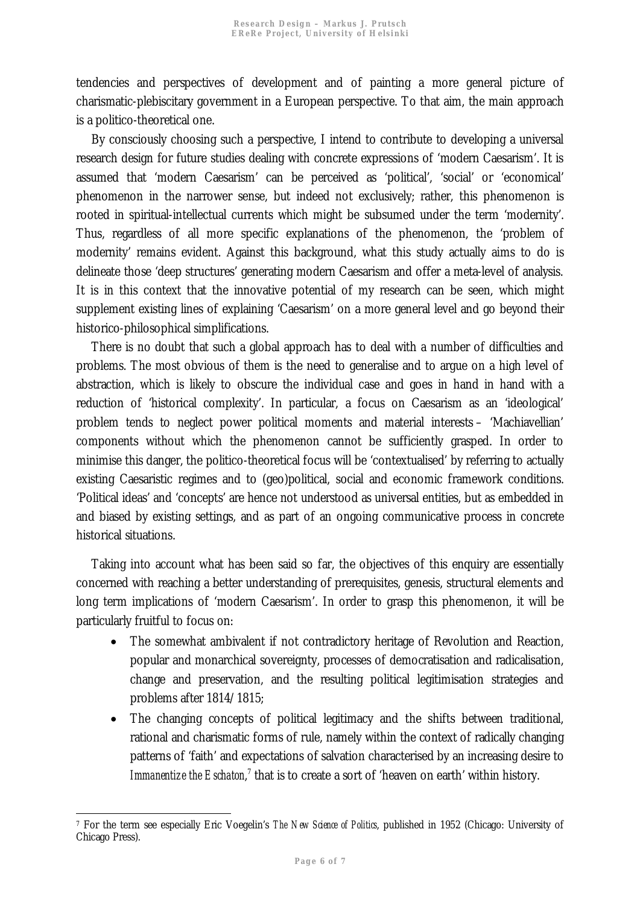tendencies and perspectives of development and of painting a more general picture of charismatic-plebiscitary government in a European perspective. To that aim, the main approach is a politico-theoretical one.

By consciously choosing such a perspective, I intend to contribute to developing a universal research design for future studies dealing with concrete expressions of 'modern Caesarism'. It is assumed that 'modern Caesarism' can be perceived as 'political', 'social' or 'economical' phenomenon in the narrower sense, but indeed not exclusively; rather, this phenomenon is rooted in spiritual-intellectual currents which might be subsumed under the term 'modernity'. Thus, regardless of all more specific explanations of the phenomenon, the 'problem of modernity' remains evident. Against this background, what this study actually aims to do is delineate those 'deep structures' generating modern Caesarism and offer a meta-level of analysis. It is in this context that the innovative potential of my research can be seen, which might supplement existing lines of explaining 'Caesarism' on a more general level and go beyond their historico-philosophical simplifications.

There is no doubt that such a global approach has to deal with a number of difficulties and problems. The most obvious of them is the need to generalise and to argue on a high level of abstraction, which is likely to obscure the individual case and goes in hand in hand with a reduction of 'historical complexity'. In particular, a focus on Caesarism as an 'ideological' problem tends to neglect power political moments and material interests – 'Machiavellian' components without which the phenomenon cannot be sufficiently grasped. In order to minimise this danger, the politico-theoretical focus will be 'contextualised' by referring to actually existing Caesaristic regimes and to (geo)political, social and economic framework conditions. 'Political ideas' and 'concepts' are hence not understood as universal entities, but as embedded in and biased by existing settings, and as part of an ongoing communicative process in concrete historical situations.

Taking into account what has been said so far, the objectives of this enquiry are essentially concerned with reaching a better understanding of prerequisites, genesis, structural elements and long term implications of 'modern Caesarism'. In order to grasp this phenomenon, it will be particularly fruitful to focus on:

- The somewhat ambivalent if not contradictory heritage of Revolution and Reaction, popular and monarchical sovereignty, processes of democratisation and radicalisation, change and preservation, and the resulting political legitimisation strategies and problems after 1814/1815;
- The changing concepts of political legitimacy and the shifts between traditional, rational and charismatic forms of rule, namely within the context of radically changing patterns of 'faith' and expectations of salvation characterised by an increasing desire to Immanentize the Eschaton,<sup>7</sup> that is to create a sort of 'heaven on earth' within history.

 $\ddot{\phantom{a}}$ 7 For the term see especially Eric Voegelin's *The New Science of Politics*, published in 1952 (Chicago: University of Chicago Press).